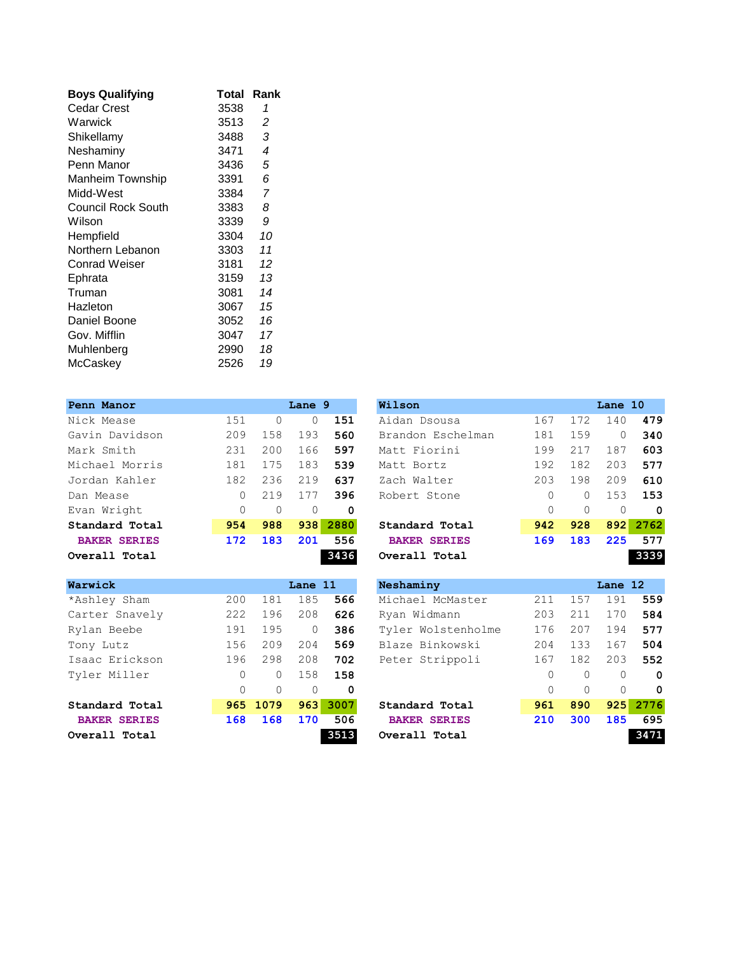| <b>Boys Qualifying</b> | Total | Rank                     |
|------------------------|-------|--------------------------|
| Cedar Crest            | 3538  | 1                        |
| Warwick                | 3513  | 2                        |
| Shikellamy             | 3488  | 3                        |
| Neshaminy              | 3471  | $\overline{\mathcal{A}}$ |
| Penn Manor             | 3436  | 5                        |
| Manheim Township       | 3391  | 6                        |
| Midd-West              | 3384  | 7                        |
| Council Rock South     | 3383  | 8                        |
| Wilson                 | 3339  | 9                        |
| Hempfield              | 3304  | 10                       |
| Northern Lebanon       | 3303  | 11                       |
| Conrad Weiser          | 3181  | 12                       |
| Ephrata                | 3159  | 13                       |
| Truman                 | 3081  | 14                       |
| Hazleton               | 3067  | 15                       |
| Daniel Boone           | 3052  | 16                       |
| Gov. Mifflin           | 3047  | 17                       |
| Muhlenberg             | 2990  | 18                       |
| McCaskey               | 2526  | 19                       |
|                        |       |                          |

| Penn Manor          |          |          | Lane 9   |      | Wilson              |          |          | Lane 10  |          |
|---------------------|----------|----------|----------|------|---------------------|----------|----------|----------|----------|
| Nick Mease          | 151      | $\Omega$ | $\Omega$ | 151  | Aidan Dsousa        | 167      | 172      | 140      | 479      |
| Gavin Davidson      | 209      | 158      | 193      | 560  | Brandon Eschelman   | 181      | 159      | $\Omega$ | 340      |
| Mark Smith          | 231      | 200      | 166      | 597  | Matt Fiorini        | 199      | 217      | 187      | 603      |
| Michael Morris      | 181      | 175      | 183      | 539  | Matt Bortz          | 192      | 182      | 203      | 577      |
| Jordan Kahler       | 182      | 236      | 219      | 637  | Zach Walter         | 203      | 198      | 209      | 610      |
| Dan Mease           | 0        | 219      | 177      | 396  | Robert Stone        | $\Omega$ | $\Omega$ | 153      | 153      |
| Evan Wright         | $\Omega$ | $\Omega$ | $\Omega$ | 0    |                     | $\Omega$ | $\Omega$ | $\Omega$ | 0        |
| Standard Total      | 954      | 988      | 938      | 2880 | Standard Total      | 942      | 928      |          | 892 2762 |
| <b>BAKER SERIES</b> | 172      | 183      | 201      | 556  | <b>BAKER SERIES</b> | 169      | 183      | 225      | 577      |
| Overall Total       |          |          |          | 3436 | Overall Total       |          |          |          | 3339     |

| enn Manor            |          |     | Lane 9   |      | Wilson              |          |          | Lane 10  |      |
|----------------------|----------|-----|----------|------|---------------------|----------|----------|----------|------|
| ick Mease            | 151      |     | 0        | 151  | Aidan Dsousa        | 167      | 172      | 140      | 479  |
| avin Davidson        | 209      | 158 | 193      | 560  | Brandon Eschelman   | 181      | 159      | 0        | 340  |
| ark Smith            | 231      | 200 | 166      | 597  | Matt Fiorini        | 199      | 217      | 187      | 603  |
| ichael Morris        | 181      | 175 | 183      | 539  | Matt Bortz          | 192      | 182      | 203      | 577  |
| ordan Kahler         | 182      | 236 | 219      | 637  | Zach Walter         | 203      | 198      | 209      | 610  |
| an Mease             | $\Omega$ | 219 | 177      | 396  | Robert Stone        | $\Omega$ | 0        | 153      | 153  |
| an Wright            | $\Omega$ |     | $\Omega$ | 0    |                     | 0        | $\Omega$ | $\Omega$ | - 0  |
| tandard Total        | 954      | 988 | 938      | 2880 | Standard Total      | 942      | 928      | 892      | 2762 |
| <b>BAKER SERIES</b>  | 172      | 183 | 201      | 556  | <b>BAKER SERIES</b> | 169      | 183      | 225      | 577  |
| <i>r</i> erall Total |          |     |          | 3436 | Overall Total       |          |          |          | 3339 |

| Warwick             |          |          | Lane 11  |      | Neshaminy           |          |          | Lane 12  |          |
|---------------------|----------|----------|----------|------|---------------------|----------|----------|----------|----------|
| *Ashley Sham        | 200      | 181      | 185      | 566  | Michael McMaster    | 211      | 157      | 191      | 559      |
| Carter Snavely      | 222      | 196      | 208      | 626  | Ryan Widmann        | 203      | 211      | 170      | 584      |
| Rylan Beebe         | 191      | 195      | $\Omega$ | 386  | Tyler Wolstenholme  | 176      | 207      | 194      | 577      |
| Tony Lutz           | 156      | 209      | 204      | 569  | Blaze Binkowski     | 204      | 133      | 167      | 504      |
| Isaac Erickson      | 196      | 298      | 208      | 702  | Peter Strippoli     | 167      | 182      | 203      | 552      |
| Tyler Miller        | 0        | 0        | 158      | 158  |                     | $\Omega$ | $\Omega$ | $\Omega$ | 0        |
|                     | $\Omega$ | $\Omega$ | $\Omega$ | 0    |                     | $\Omega$ | $\Omega$ | $\Omega$ | $\Omega$ |
| Standard Total      |          | 965 1079 | 963      | 3007 | Standard Total      | 961      | 890      | 925      | 2776     |
| <b>BAKER SERIES</b> | 168      | 168      | 170      | 506  | <b>BAKER SERIES</b> | 210      | 300      | 185      | 695      |
| Overall Total       |          |          |          | 3513 | Overall Total       |          |          |          | 3471     |

| <b>arwick</b>        |          |          | Lane 11  |          | Neshaminy           |          |           | Lane 12  |             |
|----------------------|----------|----------|----------|----------|---------------------|----------|-----------|----------|-------------|
| \shley Sham          | 200      | 181      | 185      | 566      | Michael McMaster    | 211      | 157       | 191      | 559         |
| arter Snavely        | 222      | 196      | 208      | 626      | Ryan Widmann        | 203      | 211       | 170      | 584         |
| /lan Beebe           | 191      | 195      | 0        | 386      | Tyler Wolstenholme  | 176      | 207       | 194      | 577         |
| ony Lutz             | 156      | 209      | 204      | 569      | Blaze Binkowski     | 204      | 133       | 167      | 504         |
| saac Erickson        | 196      | 298      | 208      | 702      | Peter Strippoli     | 167      | 182       | 203      | 552         |
| vler Miller          | $\Omega$ | $\Omega$ | 158      | 158      |                     | $\Omega$ | $\Omega$  | $\Omega$ | $\mathbf 0$ |
|                      | $\Omega$ | $\Omega$ | $\Omega$ | $\Omega$ |                     | $\Omega$ | $\bigcap$ | $\Omega$ | $\Omega$    |
| tandard Total        |          | 965 1079 |          | 963 3007 | Standard Total      | 961      | 890       | 925      | 2776        |
| <b>BAKER SERIES</b>  | 168      | 168      | 170      | 506      | <b>BAKER SERIES</b> | 210      | 300       | 185      | 695         |
| <i>r</i> erall Total |          |          |          | 3513     | Overall Total       |          |           |          | 3471        |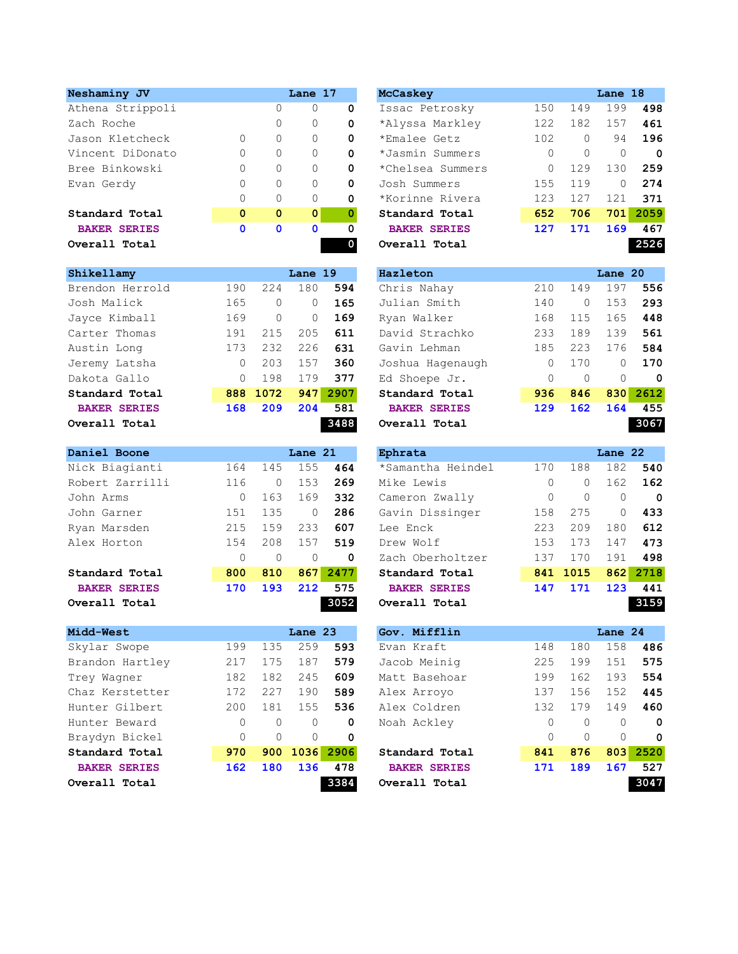| Neshaminy JV        |             |              | Lane 17      |             | <b>McCaskey</b>     |          |          | Lane 18  |          |
|---------------------|-------------|--------------|--------------|-------------|---------------------|----------|----------|----------|----------|
| Athena Strippoli    |             | $\Omega$     | $\mathbf{0}$ | 0           | Issac Petrosky      | 150      | 149      | 199      | 498      |
| Zach Roche          |             | 0            | $\mathbf{0}$ | 0           | *Alyssa Markley     | 122      | 182      | 157      | 461      |
| Jason Kletcheck     | 0           | $\circ$      | 0            | 0           | *Emalee Getz        | 102      | $\Omega$ | 94       | 196      |
| Vincent DiDonato    | 0           | $\Omega$     | $\Omega$     | $\mathbf 0$ | *Jasmin Summers     | $\Omega$ | $\Omega$ | $\Omega$ | 0        |
| Bree Binkowski      | 0           | $\Omega$     | 0            | 0           | *Chelsea Summers    | $\Omega$ | 129      | 130      | 259      |
| Evan Gerdy          | 0           | $\Omega$     | $\Omega$     | 0           | Josh Summers        | 155      | 119      | $\Omega$ | 274      |
|                     | 0           | $\Omega$     | $\Omega$     | $\mathbf 0$ | *Korinne Rivera     | 123      | 127      | 121      | 371      |
| Standard Total      | $\mathbf 0$ | $\mathbf{0}$ | $\mathbf{0}$ |             | Standard Total      | 652      | 706      |          | 701 2059 |
| <b>BAKER SERIES</b> | 0           | $\mathbf 0$  | 0            | 0           | <b>BAKER SERIES</b> | 127      | 171      | 169      | 467      |
| Overall Total       |             |              |              |             | Overall Total       |          |          |          | 2526     |

| Shikellamy          |     |          | Lane 19  |      | Hazleton            |          |          | Lane 20  |          |
|---------------------|-----|----------|----------|------|---------------------|----------|----------|----------|----------|
| Brendon Herrold     | 190 | 224      | 180      | 594  | Chris Nahay         | 210      | 149      | 197      | 556      |
| Josh Malick         | 165 | $\Omega$ | $\Omega$ | 165  | Julian Smith        | 140      | $\Omega$ | 153      | 293      |
| Jayce Kimball       | 169 | $\Omega$ | $\Omega$ | 169  | Ryan Walker         | 168      | 115      | 165      | 448      |
| Carter Thomas       | 191 | 215      | 205      | 611  | David Strachko      | 233      | 189      | 139      | 561      |
| Austin Long         | 173 | 232      | 226      | 631  | Gavin Lehman        | 185      | 223      | 176      | 584      |
| Jeremy Latsha       | 0   | 203      | 157      | 360  | Joshua Hagenaugh    | $\Omega$ | 170      | $\Omega$ | 170      |
| Dakota Gallo        | 0   | 198      | 179      | 377  | Ed Shoepe Jr.       | $\Omega$ | $\Omega$ | $\Omega$ | 0        |
| Standard Total      | 888 | 1072     | 947      | 2907 | Standard Total      | 936      | 846      |          | 830 2612 |
| <b>BAKER SERIES</b> | 168 | 209      | 204      | 581  | <b>BAKER SERIES</b> | 129      | 162      | 164      | 455      |
| Overall Total       |     |          |          | 3488 | Overall Total       |          |          |          | 3067     |

| Daniel Boone        |     |          | Lane 21  |          | Ephrata             |          |          | Lane 22  |          |
|---------------------|-----|----------|----------|----------|---------------------|----------|----------|----------|----------|
| Nick Biagianti      | 164 | 145      | 155      | 464      | *Samantha Heindel   | 170      | 188      | 182      | 540      |
| Robert Zarrilli     | 116 | $\Omega$ | 153      | 269      | Mike Lewis          | $\Omega$ | $\Omega$ | 162      | 162      |
| John Arms           | 0   | 163      | 169      | 332      | Cameron Zwally      | $\Omega$ | $\Omega$ | $\Omega$ | 0        |
| John Garner         | 151 | 135      | $\Omega$ | 286      | Gavin Dissinger     | 158      | 275      | $\Omega$ | 433      |
| Ryan Marsden        | 215 | 159      | 233      | 607      | Lee Enck            | 223      | 209      | 180      | 612      |
| Alex Horton         | 154 | 208      | 157      | 519      | Drew Wolf           | 153      | 173      | 147      | 473      |
|                     | 0   | $\Omega$ | $\Omega$ | $\Omega$ | Zach Oberholtzer    | 137      | 170      | 191      | 498      |
| Standard Total      | 800 | 810      |          | 867 2477 | Standard Total      |          | 841 1015 |          | 862 2718 |
| <b>BAKER SERIES</b> | 170 | 193      | 212      | 575      | <b>BAKER SERIES</b> | 147      | 171      | 123      | 441      |
| Overall Total       |     |          |          | 3052     | Overall Total       |          |          |          | 3159     |

|          |          |          |      | Gov. Mifflin        |          |          |          |          |
|----------|----------|----------|------|---------------------|----------|----------|----------|----------|
| 199      | 135      | 259      | 593  | Evan Kraft          | 148      | 180      | 158      | 486      |
| 217      | 175      | 187      | 579  | Jacob Meinig        | 225      | 199      | 151      | 575      |
| 182      | 182      | 245      | 609  | Matt Basehoar       | 199      | 162      | 193      | 554      |
| 172      | 227      | 190      | 589  | Alex Arroyo         | 137      | 156      | 152      | 445      |
| 200      | 181      | 155      | 536  | Alex Coldren        | 132      | 179      | 149      | 460      |
| $\Omega$ | 0        | $\Omega$ | 0    | Noah Ackley         | $\Omega$ | $\Omega$ | $\Omega$ | 0        |
| $\Omega$ | $\Omega$ | $\Omega$ | 0    |                     | $\Omega$ | $\Omega$ | $\Omega$ | 0        |
| 970      | 900      |          | 2906 | Standard Total      | 841      | 876      |          | 803 2520 |
| 162      | 180      | 136      | 478  | <b>BAKER SERIES</b> | 171      | 189      | 167      | 527      |
|          |          |          | 3384 | Overall Total       |          |          |          | 3047     |
|          |          |          |      | Lane 23<br>1036     |          |          |          | Lane 24  |

| eshaminy JV          |              |             | Lane 17      |   | <b>McCaskey</b>     |     |          | Lane 18  |      |
|----------------------|--------------|-------------|--------------|---|---------------------|-----|----------|----------|------|
| chena Strippoli      |              | 0           | 0            | 0 | Issac Petrosky      | 150 | 149      | 199      | 498  |
| ach Roche            |              | 0           | 0            | 0 | *Alyssa Markley     | 122 | 182      | 157      | 461  |
| ason Kletcheck       | $\Omega$     | 0           | $\Omega$     | 0 | *Emalee Getz        | 102 | $\Omega$ | 94       | 196  |
| incent DiDonato      | $\Omega$     | 0           | $\Omega$     | 0 | *Jasmin Summers     | 0   | $\Omega$ | $\Omega$ | 0    |
| ree Binkowski        | $\Omega$     | $\Omega$    | 0            | 0 | *Chelsea Summers    | 0   | 129      | 130      | 259  |
| <i>r</i> an Gerdy    | $\Omega$     | 0           | $\mathbf{0}$ | 0 | Josh Summers        | 155 | 119      | $\Omega$ | 274  |
|                      | $\Omega$     | 0           | $\Omega$     | 0 | *Korinne Rivera     | 123 | 127      | 121      | 371  |
| tandard Total        | $\mathbf{0}$ | $\mathbf 0$ | $\mathbf{0}$ | 0 | Standard Total      | 652 | 706      | 701      | 2059 |
| <b>BAKER SERIES</b>  | $\mathbf 0$  | $\mathbf 0$ | $\mathbf 0$  | 0 | <b>BAKER SERIES</b> | 127 | 171      | 169      | 467  |
| <i>r</i> erall Total |              |             |              |   | Overall Total       |     |          |          | 2526 |
|                      |              |             |              |   |                     |     |          |          |      |

| ikellamy             |          |          | Lane 19 |      | Hazleton            |          |          | Lane 20  |      |
|----------------------|----------|----------|---------|------|---------------------|----------|----------|----------|------|
| rendon Herrold       | 190      | 224      | 180     | 594  | Chris Nahay         | 210      | 149      | 197      | 556  |
| osh Malick           | 165      | 0        | 0       | 165  | Julian Smith        | 140      | $\Omega$ | 153      | 293  |
| ayce Kimball         | 169      | $\Omega$ | 0       | 169  | Ryan Walker         | 168      | 115      | 165      | 448  |
| arter Thomas         | 191      | 215      | 205     | 611  | David Strachko      | 233      | 189      | 139      | 561  |
| istin Long           | 173      | 232      | 226     | 631  | Gavin Lehman        | 185      | 223      | 176      | 584  |
| eremy Latsha         | $\Omega$ | 203      | 157     | 360  | Joshua Hagenaugh    | $\Omega$ | 170      | 0        | 170  |
| akota Gallo          | $\Omega$ | 198      | 179     | 377  | Ed Shoepe Jr.       | $\Omega$ | $\Omega$ | $\Omega$ | 0    |
| tandard Total        |          | 888 1072 | 947     | 2907 | Standard Total      | 936      | 846      | 830      | 2612 |
| <b>BAKER SERIES</b>  | 168      | 209      | 204     | 581  | <b>BAKER SERIES</b> | 129      | 162      | 164      | 455  |
| <i>r</i> erall Total |          |          |         | 3488 | Overall Total       |          |          |          | 3067 |
|                      |          |          |         |      |                     |          |          |          |      |

|          |          |          |      | Ephrata             |     |           | Lane 22  |             |
|----------|----------|----------|------|---------------------|-----|-----------|----------|-------------|
| 164      | 145      | 155      | 464  | *Samantha Heindel   | 170 | 188       | 182      | 540         |
| 116      | 0        | 153      | 269  | Mike Lewis          | 0   | $\Omega$  | 162      | 162         |
| $\Omega$ | 163      | 169      | 332  | Cameron Zwally      | 0   | $\bigcap$ |          | $\mathbf 0$ |
| 151      | 135      | 0        | 286  | Gavin Dissinger     | 158 | 275       |          | 433         |
| 215      | 159      | 233      | 607  | Lee Enck            | 223 | 209       | 180      | 612         |
| 154      | 208      | 157      | 519  | Drew Wolf           | 153 | 173       | 147      | 473         |
|          | $\Omega$ | $\Omega$ | 0    | Zach Oberholtzer    | 137 | 170       | 191      | 498         |
| 800      | 810      |          |      | Standard Total      |     |           | 862      | 2718        |
| 170      | 193      | 212      | 575  | <b>BAKER SERIES</b> | 147 | 171       | 123      | 441         |
|          |          |          | 3052 | Overall Total       |     |           |          | 3159        |
|          |          |          |      | Lane 21<br>867 2477 |     |           | 841 1015 |             |

| idd-West             |              |          | Lane 23       |      | Gov. Mifflin        |              |           | Lane 24 |             |
|----------------------|--------------|----------|---------------|------|---------------------|--------------|-----------|---------|-------------|
| kylar Swope          | 199          | 135      | 259           | 593  | Evan Kraft          | 148          | 180       | 158     | 486         |
| candon Hartley       | 217          | 175      | 187           | 579  | Jacob Meinig        | 225          | 199       | 151     | 575         |
| rey Waqner           | 182          | 182      | 245           | 609  | Matt Basehoar       | 199          | 162       | 193     | 554         |
| haz Kerstetter       | 172          | 227      | 190           | 589  | Alex Arroyo         | 137          | 156       | 152     | 445         |
| inter Gilbert        | 200          | 181      | 155           | 536  | Alex Coldren        | 132          | 179       | 149     | 460         |
| inter Beward         | $\mathbf{0}$ | $\Omega$ | 0             | 0    | Noah Ackley         | $\mathbf{0}$ | $\bigcap$ |         | $\mathbf 0$ |
| aydyn Bickel:        | $\Omega$     | $\Omega$ | $\Omega$      | 0    |                     | $\Omega$     | $\Omega$  |         | $\mathbf 0$ |
| tandard Total        | 970          |          | 900 1036 2906 |      | Standard Total      | 841          | 876       | 803     | 2520        |
| <b>BAKER SERIES</b>  | 162          | 180      | 136           | 478  | <b>BAKER SERIES</b> | 171          | 189       | 167     | 527         |
| <i>r</i> erall Total |              |          |               | 3384 | Overall Total       |              |           |         | 3047        |